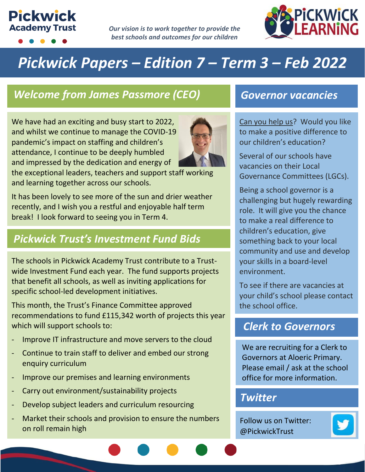# **Pickwick Academy Trust**

*Our vision is to work together to provide the best schools and outcomes for our children*



# *Pickwick Papers – Edition 7 – Term 3 – Feb 2022*

# *Welcome from James Passmore (CEO) Governor vacancies*

We have had an exciting and busy start to 2022, and whilst we continue to manage the COVID-19 pandemic's impact on staffing and children's attendance, I continue to be deeply humbled and impressed by the dedication and energy of



the exceptional leaders, teachers and support staff working and learning together across our schools.

It has been lovely to see more of the sun and drier weather recently, and I wish you a restful and enjoyable half term break! I look forward to seeing you in Term 4.

# *Pickwick Trust's Investment Fund Bids*

The schools in Pickwick Academy Trust contribute to a Trustwide Investment Fund each year. The fund supports projects that benefit all schools, as well as inviting applications for specific school-led development initiatives.

This month, the Trust's Finance Committee approved recommendations to fund £115,342 worth of projects this year which will support schools to:

- Improve IT infrastructure and move servers to the cloud
- Continue to train staff to deliver and embed our strong enquiry curriculum
- Improve our premises and learning environments
- Carry out environment/sustainability projects
- Develop subject leaders and curriculum resourcing
- Market their schools and provision to ensure the numbers on roll remain high

Can you help us? Would you like to make a positive difference to our children's education?

Several of our schools have vacancies on their Local Governance Committees (LGCs).

Being a school governor is a challenging but hugely rewarding role. It will give you the chance to make a real difference to children's education, give something back to your local community and use and develop your skills in a board-level environment.

To see if there are vacancies at your child's school please contact the school office.

### *Clerk to Governors*

We are recruiting for a Clerk to Governors at Aloeric Primary. Please email / ask at the school office for more information.

### *Twitter*

Follow us on Twitter: @PickwickTrust